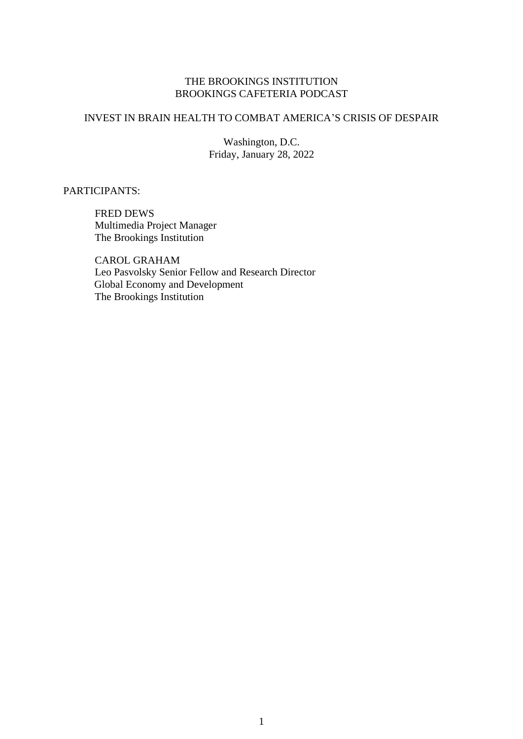## THE BROOKINGS INSTITUTION BROOKINGS CAFETERIA PODCAST

## INVEST IN BRAIN HEALTH TO COMBAT AMERICA'S CRISIS OF DESPAIR

Washington, D.C. Friday, January 28, 2022

PARTICIPANTS:

FRED DEWS Multimedia Project Manager The Brookings Institution

CAROL GRAHAM Leo Pasvolsky Senior Fellow and Research Director Global Economy and Development The Brookings Institution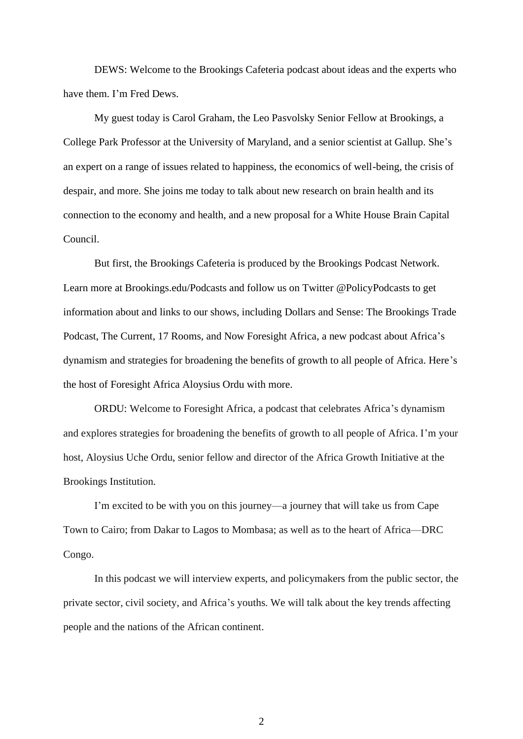DEWS: Welcome to the Brookings Cafeteria podcast about ideas and the experts who have them. I'm Fred Dews.

My guest today is Carol Graham, the Leo Pasvolsky Senior Fellow at Brookings, a College Park Professor at the University of Maryland, and a senior scientist at Gallup. She's an expert on a range of issues related to happiness, the economics of well-being, the crisis of despair, and more. She joins me today to talk about new research on brain health and its connection to the economy and health, and a new proposal for a White House Brain Capital Council.

But first, the Brookings Cafeteria is produced by the Brookings Podcast Network. Learn more at Brookings.edu/Podcasts and follow us on Twitter @PolicyPodcasts to get information about and links to our shows, including Dollars and Sense: The Brookings Trade Podcast, The Current, 17 Rooms, and Now Foresight Africa, a new podcast about Africa's dynamism and strategies for broadening the benefits of growth to all people of Africa. Here's the host of Foresight Africa Aloysius Ordu with more.

ORDU: Welcome to Foresight Africa, a podcast that celebrates Africa's dynamism and explores strategies for broadening the benefits of growth to all people of Africa. I'm your host, Aloysius Uche Ordu, senior fellow and director of the Africa Growth Initiative at the Brookings Institution.

I'm excited to be with you on this journey—a journey that will take us from Cape Town to Cairo; from Dakar to Lagos to Mombasa; as well as to the heart of Africa—DRC Congo.

In this podcast we will interview experts, and policymakers from the public sector, the private sector, civil society, and Africa's youths. We will talk about the key trends affecting people and the nations of the African continent.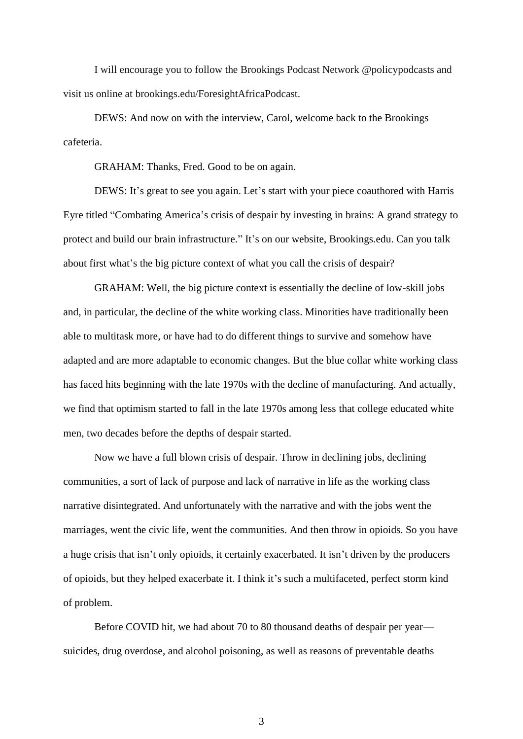I will encourage you to follow the Brookings Podcast Network @policypodcasts and visit us online at brookings.edu/ForesightAfricaPodcast.

DEWS: And now on with the interview, Carol, welcome back to the Brookings cafeteria.

GRAHAM: Thanks, Fred. Good to be on again.

DEWS: It's great to see you again. Let's start with your piece coauthored with Harris Eyre titled "Combating America's crisis of despair by investing in brains: A grand strategy to protect and build our brain infrastructure." It's on our website, Brookings.edu. Can you talk about first what's the big picture context of what you call the crisis of despair?

GRAHAM: Well, the big picture context is essentially the decline of low-skill jobs and, in particular, the decline of the white working class. Minorities have traditionally been able to multitask more, or have had to do different things to survive and somehow have adapted and are more adaptable to economic changes. But the blue collar white working class has faced hits beginning with the late 1970s with the decline of manufacturing. And actually, we find that optimism started to fall in the late 1970s among less that college educated white men, two decades before the depths of despair started.

Now we have a full blown crisis of despair. Throw in declining jobs, declining communities, a sort of lack of purpose and lack of narrative in life as the working class narrative disintegrated. And unfortunately with the narrative and with the jobs went the marriages, went the civic life, went the communities. And then throw in opioids. So you have a huge crisis that isn't only opioids, it certainly exacerbated. It isn't driven by the producers of opioids, but they helped exacerbate it. I think it's such a multifaceted, perfect storm kind of problem.

Before COVID hit, we had about 70 to 80 thousand deaths of despair per year suicides, drug overdose, and alcohol poisoning, as well as reasons of preventable deaths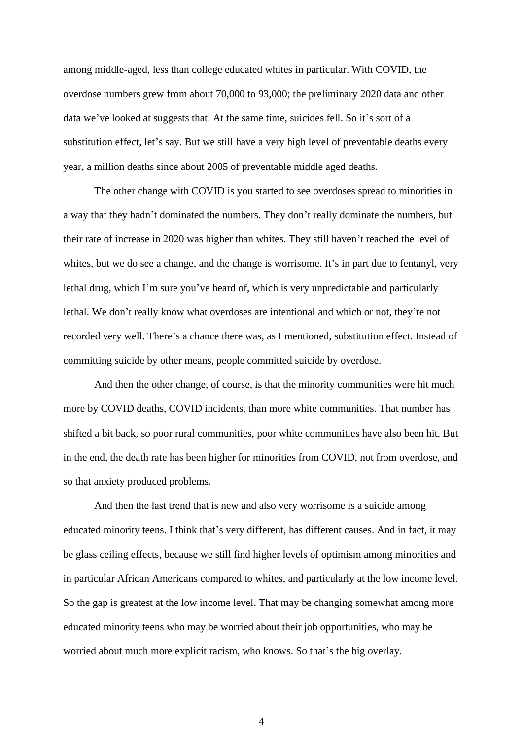among middle-aged, less than college educated whites in particular. With COVID, the overdose numbers grew from about 70,000 to 93,000; the preliminary 2020 data and other data we've looked at suggests that. At the same time, suicides fell. So it's sort of a substitution effect, let's say. But we still have a very high level of preventable deaths every year, a million deaths since about 2005 of preventable middle aged deaths.

The other change with COVID is you started to see overdoses spread to minorities in a way that they hadn't dominated the numbers. They don't really dominate the numbers, but their rate of increase in 2020 was higher than whites. They still haven't reached the level of whites, but we do see a change, and the change is worrisome. It's in part due to fentanyl, very lethal drug, which I'm sure you've heard of, which is very unpredictable and particularly lethal. We don't really know what overdoses are intentional and which or not, they're not recorded very well. There's a chance there was, as I mentioned, substitution effect. Instead of committing suicide by other means, people committed suicide by overdose.

And then the other change, of course, is that the minority communities were hit much more by COVID deaths, COVID incidents, than more white communities. That number has shifted a bit back, so poor rural communities, poor white communities have also been hit. But in the end, the death rate has been higher for minorities from COVID, not from overdose, and so that anxiety produced problems.

And then the last trend that is new and also very worrisome is a suicide among educated minority teens. I think that's very different, has different causes. And in fact, it may be glass ceiling effects, because we still find higher levels of optimism among minorities and in particular African Americans compared to whites, and particularly at the low income level. So the gap is greatest at the low income level. That may be changing somewhat among more educated minority teens who may be worried about their job opportunities, who may be worried about much more explicit racism, who knows. So that's the big overlay.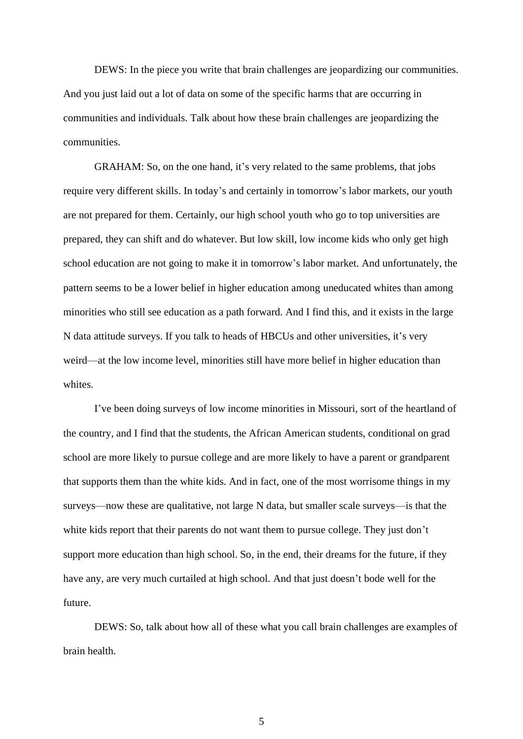DEWS: In the piece you write that brain challenges are jeopardizing our communities. And you just laid out a lot of data on some of the specific harms that are occurring in communities and individuals. Talk about how these brain challenges are jeopardizing the communities.

GRAHAM: So, on the one hand, it's very related to the same problems, that jobs require very different skills. In today's and certainly in tomorrow's labor markets, our youth are not prepared for them. Certainly, our high school youth who go to top universities are prepared, they can shift and do whatever. But low skill, low income kids who only get high school education are not going to make it in tomorrow's labor market. And unfortunately, the pattern seems to be a lower belief in higher education among uneducated whites than among minorities who still see education as a path forward. And I find this, and it exists in the large N data attitude surveys. If you talk to heads of HBCUs and other universities, it's very weird—at the low income level, minorities still have more belief in higher education than whites.

I've been doing surveys of low income minorities in Missouri, sort of the heartland of the country, and I find that the students, the African American students, conditional on grad school are more likely to pursue college and are more likely to have a parent or grandparent that supports them than the white kids. And in fact, one of the most worrisome things in my surveys—now these are qualitative, not large N data, but smaller scale surveys—is that the white kids report that their parents do not want them to pursue college. They just don't support more education than high school. So, in the end, their dreams for the future, if they have any, are very much curtailed at high school. And that just doesn't bode well for the future.

DEWS: So, talk about how all of these what you call brain challenges are examples of brain health.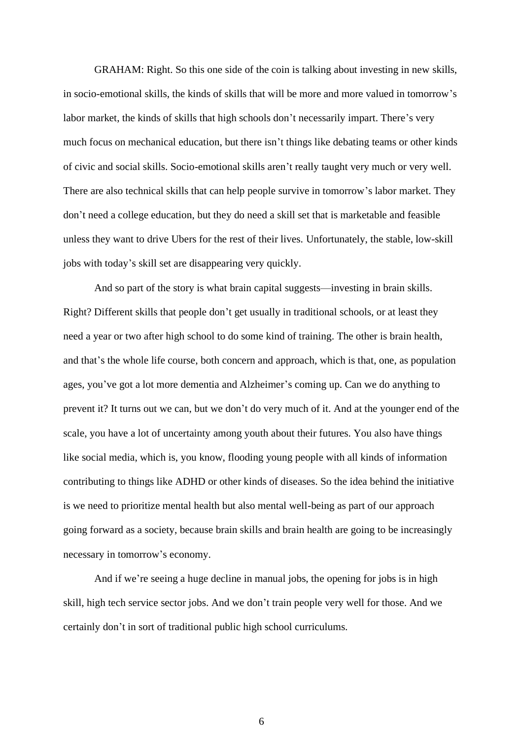GRAHAM: Right. So this one side of the coin is talking about investing in new skills, in socio-emotional skills, the kinds of skills that will be more and more valued in tomorrow's labor market, the kinds of skills that high schools don't necessarily impart. There's very much focus on mechanical education, but there isn't things like debating teams or other kinds of civic and social skills. Socio-emotional skills aren't really taught very much or very well. There are also technical skills that can help people survive in tomorrow's labor market. They don't need a college education, but they do need a skill set that is marketable and feasible unless they want to drive Ubers for the rest of their lives. Unfortunately, the stable, low-skill jobs with today's skill set are disappearing very quickly.

And so part of the story is what brain capital suggests—investing in brain skills. Right? Different skills that people don't get usually in traditional schools, or at least they need a year or two after high school to do some kind of training. The other is brain health, and that's the whole life course, both concern and approach, which is that, one, as population ages, you've got a lot more dementia and Alzheimer's coming up. Can we do anything to prevent it? It turns out we can, but we don't do very much of it. And at the younger end of the scale, you have a lot of uncertainty among youth about their futures. You also have things like social media, which is, you know, flooding young people with all kinds of information contributing to things like ADHD or other kinds of diseases. So the idea behind the initiative is we need to prioritize mental health but also mental well-being as part of our approach going forward as a society, because brain skills and brain health are going to be increasingly necessary in tomorrow's economy.

And if we're seeing a huge decline in manual jobs, the opening for jobs is in high skill, high tech service sector jobs. And we don't train people very well for those. And we certainly don't in sort of traditional public high school curriculums.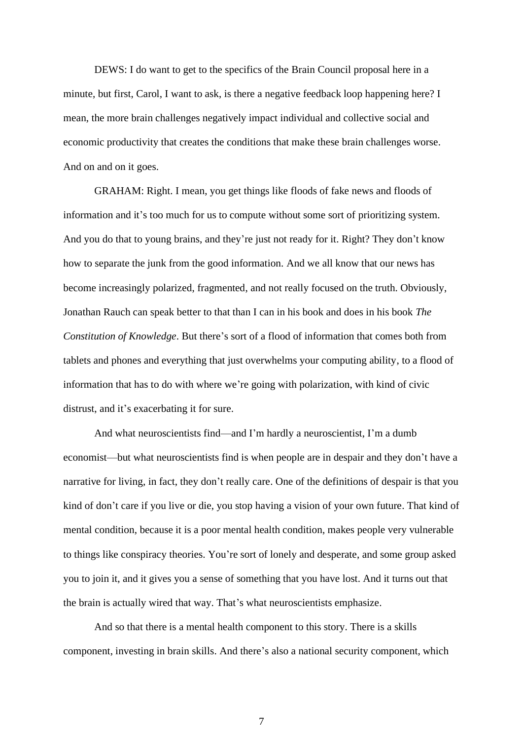DEWS: I do want to get to the specifics of the Brain Council proposal here in a minute, but first, Carol, I want to ask, is there a negative feedback loop happening here? I mean, the more brain challenges negatively impact individual and collective social and economic productivity that creates the conditions that make these brain challenges worse. And on and on it goes.

GRAHAM: Right. I mean, you get things like floods of fake news and floods of information and it's too much for us to compute without some sort of prioritizing system. And you do that to young brains, and they're just not ready for it. Right? They don't know how to separate the junk from the good information. And we all know that our news has become increasingly polarized, fragmented, and not really focused on the truth. Obviously, Jonathan Rauch can speak better to that than I can in his book and does in his book *The Constitution of Knowledge*. But there's sort of a flood of information that comes both from tablets and phones and everything that just overwhelms your computing ability, to a flood of information that has to do with where we're going with polarization, with kind of civic distrust, and it's exacerbating it for sure.

And what neuroscientists find—and I'm hardly a neuroscientist, I'm a dumb economist—but what neuroscientists find is when people are in despair and they don't have a narrative for living, in fact, they don't really care. One of the definitions of despair is that you kind of don't care if you live or die, you stop having a vision of your own future. That kind of mental condition, because it is a poor mental health condition, makes people very vulnerable to things like conspiracy theories. You're sort of lonely and desperate, and some group asked you to join it, and it gives you a sense of something that you have lost. And it turns out that the brain is actually wired that way. That's what neuroscientists emphasize.

And so that there is a mental health component to this story. There is a skills component, investing in brain skills. And there's also a national security component, which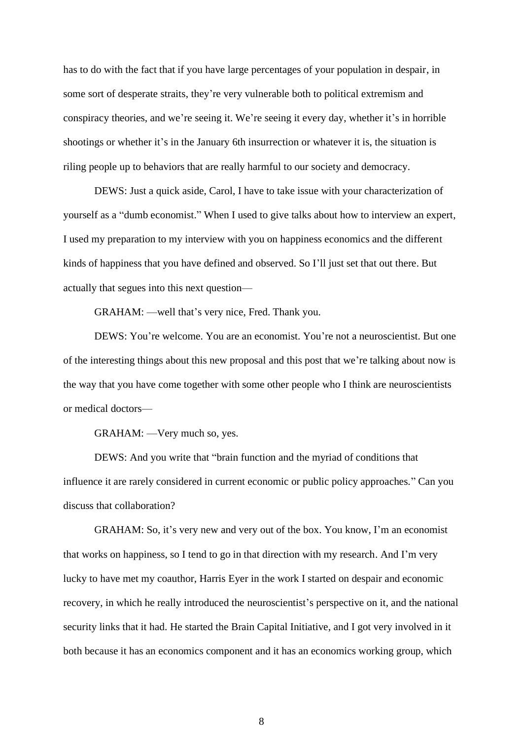has to do with the fact that if you have large percentages of your population in despair, in some sort of desperate straits, they're very vulnerable both to political extremism and conspiracy theories, and we're seeing it. We're seeing it every day, whether it's in horrible shootings or whether it's in the January 6th insurrection or whatever it is, the situation is riling people up to behaviors that are really harmful to our society and democracy.

DEWS: Just a quick aside, Carol, I have to take issue with your characterization of yourself as a "dumb economist." When I used to give talks about how to interview an expert, I used my preparation to my interview with you on happiness economics and the different kinds of happiness that you have defined and observed. So I'll just set that out there. But actually that segues into this next question—

GRAHAM: —well that's very nice, Fred. Thank you.

DEWS: You're welcome. You are an economist. You're not a neuroscientist. But one of the interesting things about this new proposal and this post that we're talking about now is the way that you have come together with some other people who I think are neuroscientists or medical doctors—

GRAHAM: —Very much so, yes.

DEWS: And you write that "brain function and the myriad of conditions that influence it are rarely considered in current economic or public policy approaches." Can you discuss that collaboration?

GRAHAM: So, it's very new and very out of the box. You know, I'm an economist that works on happiness, so I tend to go in that direction with my research. And I'm very lucky to have met my coauthor, Harris Eyer in the work I started on despair and economic recovery, in which he really introduced the neuroscientist's perspective on it, and the national security links that it had. He started the Brain Capital Initiative, and I got very involved in it both because it has an economics component and it has an economics working group, which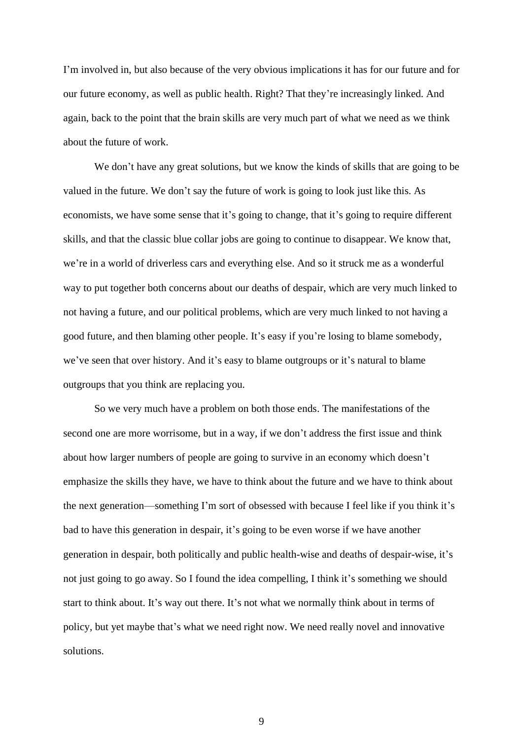I'm involved in, but also because of the very obvious implications it has for our future and for our future economy, as well as public health. Right? That they're increasingly linked. And again, back to the point that the brain skills are very much part of what we need as we think about the future of work.

We don't have any great solutions, but we know the kinds of skills that are going to be valued in the future. We don't say the future of work is going to look just like this. As economists, we have some sense that it's going to change, that it's going to require different skills, and that the classic blue collar jobs are going to continue to disappear. We know that, we're in a world of driverless cars and everything else. And so it struck me as a wonderful way to put together both concerns about our deaths of despair, which are very much linked to not having a future, and our political problems, which are very much linked to not having a good future, and then blaming other people. It's easy if you're losing to blame somebody, we've seen that over history. And it's easy to blame outgroups or it's natural to blame outgroups that you think are replacing you.

So we very much have a problem on both those ends. The manifestations of the second one are more worrisome, but in a way, if we don't address the first issue and think about how larger numbers of people are going to survive in an economy which doesn't emphasize the skills they have, we have to think about the future and we have to think about the next generation—something I'm sort of obsessed with because I feel like if you think it's bad to have this generation in despair, it's going to be even worse if we have another generation in despair, both politically and public health-wise and deaths of despair-wise, it's not just going to go away. So I found the idea compelling, I think it's something we should start to think about. It's way out there. It's not what we normally think about in terms of policy, but yet maybe that's what we need right now. We need really novel and innovative solutions.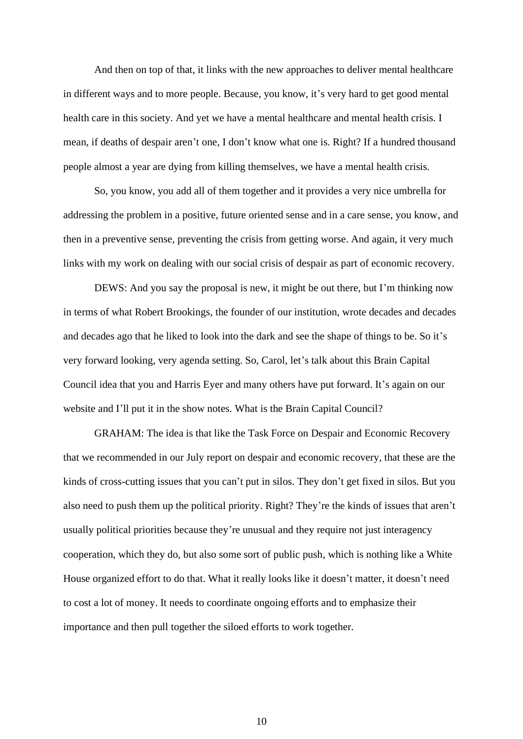And then on top of that, it links with the new approaches to deliver mental healthcare in different ways and to more people. Because, you know, it's very hard to get good mental health care in this society. And yet we have a mental healthcare and mental health crisis. I mean, if deaths of despair aren't one, I don't know what one is. Right? If a hundred thousand people almost a year are dying from killing themselves, we have a mental health crisis.

So, you know, you add all of them together and it provides a very nice umbrella for addressing the problem in a positive, future oriented sense and in a care sense, you know, and then in a preventive sense, preventing the crisis from getting worse. And again, it very much links with my work on dealing with our social crisis of despair as part of economic recovery.

DEWS: And you say the proposal is new, it might be out there, but I'm thinking now in terms of what Robert Brookings, the founder of our institution, wrote decades and decades and decades ago that he liked to look into the dark and see the shape of things to be. So it's very forward looking, very agenda setting. So, Carol, let's talk about this Brain Capital Council idea that you and Harris Eyer and many others have put forward. It's again on our website and I'll put it in the show notes. What is the Brain Capital Council?

GRAHAM: The idea is that like the Task Force on Despair and Economic Recovery that we recommended in our July report on despair and economic recovery, that these are the kinds of cross-cutting issues that you can't put in silos. They don't get fixed in silos. But you also need to push them up the political priority. Right? They're the kinds of issues that aren't usually political priorities because they're unusual and they require not just interagency cooperation, which they do, but also some sort of public push, which is nothing like a White House organized effort to do that. What it really looks like it doesn't matter, it doesn't need to cost a lot of money. It needs to coordinate ongoing efforts and to emphasize their importance and then pull together the siloed efforts to work together.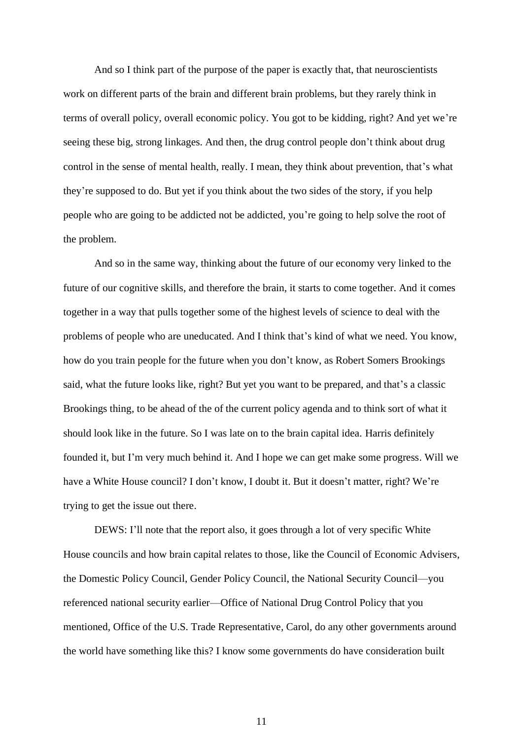And so I think part of the purpose of the paper is exactly that, that neuroscientists work on different parts of the brain and different brain problems, but they rarely think in terms of overall policy, overall economic policy. You got to be kidding, right? And yet we're seeing these big, strong linkages. And then, the drug control people don't think about drug control in the sense of mental health, really. I mean, they think about prevention, that's what they're supposed to do. But yet if you think about the two sides of the story, if you help people who are going to be addicted not be addicted, you're going to help solve the root of the problem.

And so in the same way, thinking about the future of our economy very linked to the future of our cognitive skills, and therefore the brain, it starts to come together. And it comes together in a way that pulls together some of the highest levels of science to deal with the problems of people who are uneducated. And I think that's kind of what we need. You know, how do you train people for the future when you don't know, as Robert Somers Brookings said, what the future looks like, right? But yet you want to be prepared, and that's a classic Brookings thing, to be ahead of the of the current policy agenda and to think sort of what it should look like in the future. So I was late on to the brain capital idea. Harris definitely founded it, but I'm very much behind it. And I hope we can get make some progress. Will we have a White House council? I don't know, I doubt it. But it doesn't matter, right? We're trying to get the issue out there.

DEWS: I'll note that the report also, it goes through a lot of very specific White House councils and how brain capital relates to those, like the Council of Economic Advisers, the Domestic Policy Council, Gender Policy Council, the National Security Council—you referenced national security earlier—Office of National Drug Control Policy that you mentioned, Office of the U.S. Trade Representative, Carol, do any other governments around the world have something like this? I know some governments do have consideration built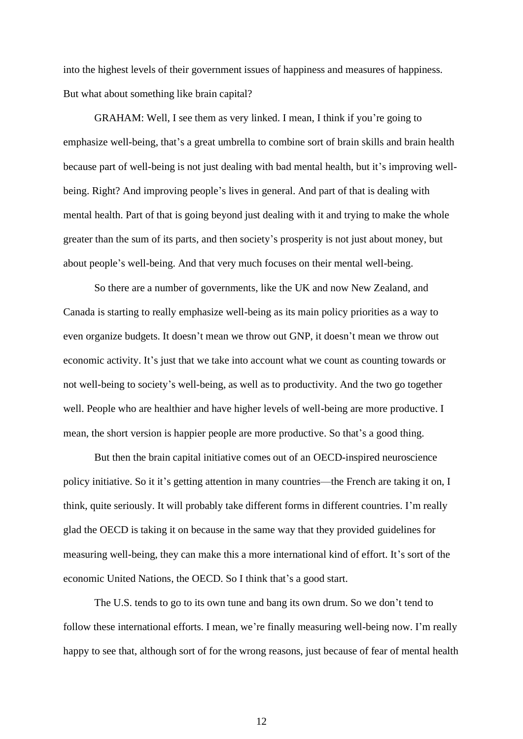into the highest levels of their government issues of happiness and measures of happiness. But what about something like brain capital?

GRAHAM: Well, I see them as very linked. I mean, I think if you're going to emphasize well-being, that's a great umbrella to combine sort of brain skills and brain health because part of well-being is not just dealing with bad mental health, but it's improving wellbeing. Right? And improving people's lives in general. And part of that is dealing with mental health. Part of that is going beyond just dealing with it and trying to make the whole greater than the sum of its parts, and then society's prosperity is not just about money, but about people's well-being. And that very much focuses on their mental well-being.

So there are a number of governments, like the UK and now New Zealand, and Canada is starting to really emphasize well-being as its main policy priorities as a way to even organize budgets. It doesn't mean we throw out GNP, it doesn't mean we throw out economic activity. It's just that we take into account what we count as counting towards or not well-being to society's well-being, as well as to productivity. And the two go together well. People who are healthier and have higher levels of well-being are more productive. I mean, the short version is happier people are more productive. So that's a good thing.

But then the brain capital initiative comes out of an OECD-inspired neuroscience policy initiative. So it it's getting attention in many countries—the French are taking it on, I think, quite seriously. It will probably take different forms in different countries. I'm really glad the OECD is taking it on because in the same way that they provided guidelines for measuring well-being, they can make this a more international kind of effort. It's sort of the economic United Nations, the OECD. So I think that's a good start.

The U.S. tends to go to its own tune and bang its own drum. So we don't tend to follow these international efforts. I mean, we're finally measuring well-being now. I'm really happy to see that, although sort of for the wrong reasons, just because of fear of mental health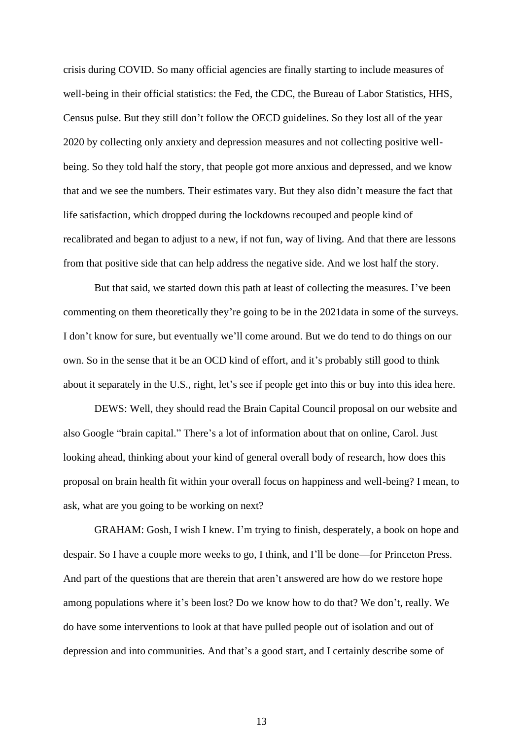crisis during COVID. So many official agencies are finally starting to include measures of well-being in their official statistics: the Fed, the CDC, the Bureau of Labor Statistics, HHS, Census pulse. But they still don't follow the OECD guidelines. So they lost all of the year 2020 by collecting only anxiety and depression measures and not collecting positive wellbeing. So they told half the story, that people got more anxious and depressed, and we know that and we see the numbers. Their estimates vary. But they also didn't measure the fact that life satisfaction, which dropped during the lockdowns recouped and people kind of recalibrated and began to adjust to a new, if not fun, way of living. And that there are lessons from that positive side that can help address the negative side. And we lost half the story.

But that said, we started down this path at least of collecting the measures. I've been commenting on them theoretically they're going to be in the 2021data in some of the surveys. I don't know for sure, but eventually we'll come around. But we do tend to do things on our own. So in the sense that it be an OCD kind of effort, and it's probably still good to think about it separately in the U.S., right, let's see if people get into this or buy into this idea here.

DEWS: Well, they should read the Brain Capital Council proposal on our website and also Google "brain capital." There's a lot of information about that on online, Carol. Just looking ahead, thinking about your kind of general overall body of research, how does this proposal on brain health fit within your overall focus on happiness and well-being? I mean, to ask, what are you going to be working on next?

GRAHAM: Gosh, I wish I knew. I'm trying to finish, desperately, a book on hope and despair. So I have a couple more weeks to go, I think, and I'll be done—for Princeton Press. And part of the questions that are therein that aren't answered are how do we restore hope among populations where it's been lost? Do we know how to do that? We don't, really. We do have some interventions to look at that have pulled people out of isolation and out of depression and into communities. And that's a good start, and I certainly describe some of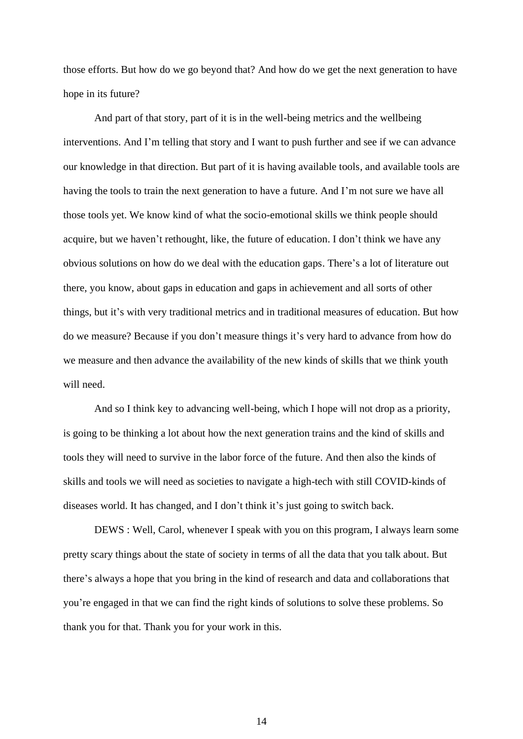those efforts. But how do we go beyond that? And how do we get the next generation to have hope in its future?

And part of that story, part of it is in the well-being metrics and the wellbeing interventions. And I'm telling that story and I want to push further and see if we can advance our knowledge in that direction. But part of it is having available tools, and available tools are having the tools to train the next generation to have a future. And I'm not sure we have all those tools yet. We know kind of what the socio-emotional skills we think people should acquire, but we haven't rethought, like, the future of education. I don't think we have any obvious solutions on how do we deal with the education gaps. There's a lot of literature out there, you know, about gaps in education and gaps in achievement and all sorts of other things, but it's with very traditional metrics and in traditional measures of education. But how do we measure? Because if you don't measure things it's very hard to advance from how do we measure and then advance the availability of the new kinds of skills that we think youth will need.

And so I think key to advancing well-being, which I hope will not drop as a priority, is going to be thinking a lot about how the next generation trains and the kind of skills and tools they will need to survive in the labor force of the future. And then also the kinds of skills and tools we will need as societies to navigate a high-tech with still COVID-kinds of diseases world. It has changed, and I don't think it's just going to switch back.

DEWS : Well, Carol, whenever I speak with you on this program, I always learn some pretty scary things about the state of society in terms of all the data that you talk about. But there's always a hope that you bring in the kind of research and data and collaborations that you're engaged in that we can find the right kinds of solutions to solve these problems. So thank you for that. Thank you for your work in this.